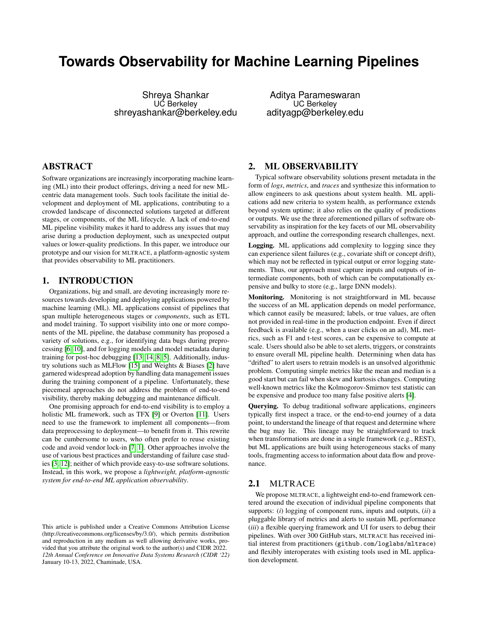# **Towards Observability for Machine Learning Pipelines**

Shreya Shankar UC Berkeley shreyashankar@berkeley.edu

Aditya Parameswaran UC Berkeley adityagp@berkeley.edu

## ABSTRACT

Software organizations are increasingly incorporating machine learning (ML) into their product offerings, driving a need for new MLcentric data management tools. Such tools facilitate the initial development and deployment of ML applications, contributing to a crowded landscape of disconnected solutions targeted at different stages, or components, of the ML lifecycle. A lack of end-to-end ML pipeline visibility makes it hard to address any issues that may arise during a production deployment, such as unexpected output values or lower-quality predictions. In this paper, we introduce our prototype and our vision for MLTRACE, a platform-agnostic system that provides observability to ML practitioners.

# 1. INTRODUCTION

Organizations, big and small, are devoting increasingly more resources towards developing and deploying applications powered by machine learning (ML). ML applications consist of pipelines that span multiple heterogeneous stages or *components*, such as ETL and model training. To support visibility into one or more components of the ML pipeline, the database community has proposed a variety of solutions, e.g., for identifying data bugs during preprocessing [\[6,](#page-1-0) [10\]](#page-1-1), and for logging models and model metadata during training for post-hoc debugging [\[13,](#page-1-2) [14,](#page-1-3) [8,](#page-1-4) [5\]](#page-1-5). Additionally, industry solutions such as MLFlow [\[15\]](#page-1-6) and Weights & Biases [\[2\]](#page-1-7) have garnered widespread adoption by handling data management issues during the training component of a pipeline. Unfortunately, these piecemeal approaches do not address the problem of end-to-end visibility, thereby making debugging and maintenance difficult.

One promising approach for end-to-end visibility is to employ a holistic ML framework, such as TFX [\[9\]](#page-1-8) or Overton [\[11\]](#page-1-9). Users need to use the framework to implement all components—from data preprocessing to deployment—to benefit from it. This rewrite can be cumbersome to users, who often prefer to reuse existing code and avoid vendor lock-in [\[7,](#page-1-10) [1\]](#page-1-11). Other approaches involve the use of various best practices and understanding of failure case studies [\[3,](#page-1-12) [12\]](#page-1-13); neither of which provide easy-to-use software solutions. Instead, in this work, we propose a *lightweight, platform-agnostic system for end-to-end ML application observability*.

### 2. ML OBSERVABILITY

Typical software observability solutions present metadata in the form of *logs*, *metrics*, and *traces* and synthesize this information to allow engineers to ask questions about system health. ML applications add new criteria to system health, as performance extends beyond system uptime; it also relies on the quality of predictions or outputs. We use the three aforementioned pillars of software observability as inspiration for the key facets of our ML observability approach, and outline the corresponding research challenges, next.

Logging. ML applications add complexity to logging since they can experience silent failures (e.g., covariate shift or concept drift), which may not be reflected in typical output or error logging statements. Thus, our approach must capture inputs and outputs of intermediate components, both of which can be computationally expensive and bulky to store (e.g., large DNN models).

Monitoring. Monitoring is not straightforward in ML because the success of an ML application depends on model performance, which cannot easily be measured; labels, or true values, are often not provided in real-time in the production endpoint. Even if direct feedback is available (e.g., when a user clicks on an ad), ML metrics, such as F1 and t-test scores, can be expensive to compute at scale. Users should also be able to set alerts, triggers, or constraints to ensure overall ML pipeline health. Determining when data has "drifted" to alert users to retrain models is an unsolved algorithmic problem. Computing simple metrics like the mean and median is a good start but can fail when skew and kurtosis changes. Computing well-known metrics like the Kolmogorov-Smirnov test statistic can be expensive and produce too many false positive alerts [\[4\]](#page-1-14).

Querying. To debug traditional software applications, engineers typically first inspect a trace, or the end-to-end journey of a data point, to understand the lineage of that request and determine where the bug may lie. This lineage may be straightforward to track when transformations are done in a single framework (e.g., REST), but ML applications are built using heterogeneous stacks of many tools, fragmenting access to information about data flow and provenance.

#### 2.1 MLTRACE

We propose MLTRACE, a lightweight end-to-end framework centered around the execution of individual pipeline components that supports: (*i*) logging of component runs, inputs and outputs, (*ii*) a pluggable library of metrics and alerts to sustain ML performance (*iii*) a flexible querying framework and UI for users to debug their pipelines. With over 300 GitHub stars, MLTRACE has received initial interest from practitioners (github.com/loglabs/mltrace) and flexibly interoperates with existing tools used in ML application development.

This article is published under a Creative Commons Attribution License (http://creativecommons.org/licenses/by/3.0/), which permits distribution and reproduction in any medium as well allowing derivative works, provided that you attribute the original work to the author(s) and CIDR 2022. *12th Annual Conference on Innovative Data Systems Research (CIDR '22)* January 10-13, 2022, Chaminade, USA.